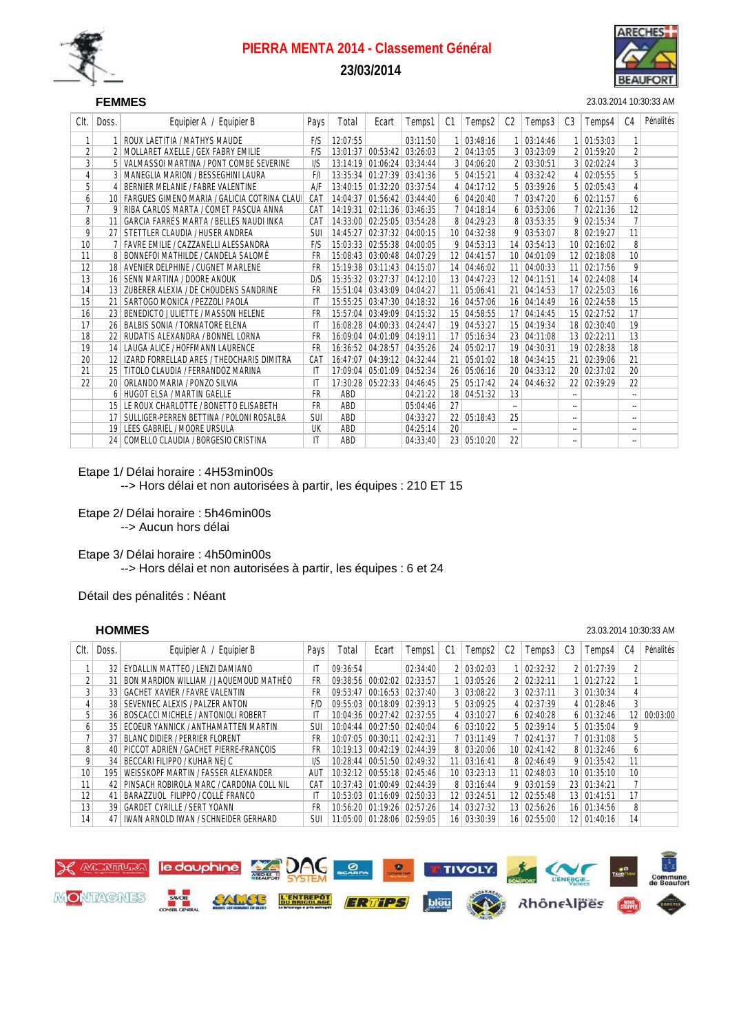

## **23/03/2014**

## SEF **FEMMES** 23.03.2014 10:30:33 AM

| Clt.           | Doss.           | Equipier A / Equipier B                     | Pays       | Total    | Ecart                      | Temps1              | C1              | Temps2     | C2                       | Temps3        | C <sub>3</sub>       | Temps4             | C4                       | Pénalités |
|----------------|-----------------|---------------------------------------------|------------|----------|----------------------------|---------------------|-----------------|------------|--------------------------|---------------|----------------------|--------------------|--------------------------|-----------|
|                |                 | ROUX LAETITIA / MATHYS MAUDE                | F/S        | 12:07:55 |                            | 03:11:50            | 1               | 03:48:16   |                          | 03:14:46      |                      | $1 \mid 01:53:03$  | 1                        |           |
| $\overline{2}$ |                 | MOLLARET AXELLE / GEX FABRY EMILIE          | F/S        | 13:01:37 | 00:53:42                   | 03:26:03            | $\overline{2}$  | 04:13:05   |                          | 3 03:23:09    |                      | 2 01:59:20         | $\overline{2}$           |           |
| $\overline{3}$ | 5 <sup>1</sup>  | VALMASSOI MARTINA / PONT COMBE SEVERINE     | 1/S        | 13:14:19 |                            | $01:06:24$ 03:34:44 | 3               | 04:06:20   |                          | 2   03:30:51  |                      | 3 02:02:24         | 3                        |           |
| $\overline{4}$ |                 | MANEGLIA MARION / BESSEGHINI LAURA          | F/I        |          | 13:35:34 01:27:39 03:41:36 |                     | 5.              | 04:15:21   |                          | 4 03:32:42    |                      | 4 02:05:55         | 5                        |           |
| 5              | $\frac{4}{ }$   | BERNIER MELANIE / FABRE VALENTINE           | A/F        |          | 13:40:15 01:32:20 03:37:54 |                     |                 | 4 04:17:12 |                          | 5   03:39:26  |                      | 5   02:05:43       | 4                        |           |
| 6              | 10              | FARGUES GIMENO MARIA / GALICIA COTRINA CLAU | CAT        |          | 14:04:37 01:56:42 03:44:40 |                     |                 | 6 04:20:40 | 7 <sup>1</sup>           | 03:47:20      |                      | $6$ 02:11:57       | 6                        |           |
| $\overline{7}$ | 9               | RIBA CARLOS MARTA / COMET PASCUA ANNA       | CAT        | 14:19:31 | $02:11:36$ 03:46:35        |                     | 7 <sup>1</sup>  | 04:18:14   |                          | $6$ 03:53:06  |                      | 7 02:21:36         | 12                       |           |
| 8              | 11              | GARCIA FARRÉS MARTA / BELLES NAUDI INKA     | CAT        |          | 14:33:00 02:25:05 03:54:28 |                     |                 | 8 04:29:23 |                          | 8 03:53:35    |                      | 9 02:15:34         | $\overline{7}$           |           |
| 9              | 27 <sup>1</sup> | STETTLER CLAUDIA / HUSER ANDREA             | <b>SUI</b> |          | 14:45:27 02:37:32 04:00:15 |                     | 10 <sup>1</sup> | 04:32:38   |                          | 9 03:53:07    |                      | 8 02:19:27         | 11                       |           |
| 10             |                 | <b>FAVRE EMILIE / CAZZANELLI ALESSANDRA</b> | F/S        |          | 15:03:33 02:55:38 04:00:05 |                     | 9               | 04:53:13   | 14                       | 03:54:13      |                      | $10 \mid 02:16:02$ | 8                        |           |
| 11             | 8               | BONNEFOI MATHILDE / CANDELA SALOMÉ          | FR         |          | 15:08:43 03:00:48 04:07:29 |                     | 12              | 04:41:57   |                          | 10   04:01:09 |                      | 12   02:18:08      | 10                       |           |
| 12             |                 | AVENIER DEI PHINE / CLIGNET MARI ENE        | FR         |          | 15:19:38 03:11:43 04:15:07 |                     | 14              | 04:46:02   | 11 <sup>1</sup>          | 04:00:33      |                      | 11 02:17:56        | 9                        |           |
| 13             | 16              | SENN MARTINA / DOORE ANOUK                  | D/S        |          | 15:35:32 03:27:37 04:12:10 |                     | 13              | 04:47:23   |                          | 12 04:11:51   |                      | 14 02:24:08        | 14                       |           |
| 14             | 13              | ZUBERER ALEXIA / DE CHOUDENS SANDRINE       | FR         | 15:51:04 | 03:43:09                   | 04:04:27            | 11              | 05:06:41   | 21                       | 04:14:53      |                      | 17 02:25:03        | 16                       |           |
| 15             | 21              | SARTOGO MONICA / PEZZOLI PAOLA              | ΙT         | 15:55:25 |                            | 03:47:30 04:18:32   | 16              | 04:57:06   |                          | 16 04:14:49   |                      | 16 02:24:58        | 15                       |           |
| 16             | 23              | BENEDICTO JULIETTE / MASSON HELENE          | FR         | 15:57:04 | 03:49:09                   | 04:15:32            | 15              | 04:58:55   |                          | 17 04:14:45   |                      | 15 02:27:52        | 17                       |           |
| 17             | 26              | <b>BALBIS SONIA / TORNATORE ELENA</b>       | ΙT         | 16:08:28 | $04:00:33$ 04:24:47        |                     | 19              | 04:53:27   |                          | 15 04:19:34   |                      | 18 02:30:40        | 19                       |           |
| 18             | 22              | RUDATIS ALEXANDRA / BONNEL LORNA            | FR         | 16:09:04 | $04:01:09$ 04:19:11        |                     | 17              | 05:16:34   |                          | 23 04:11:08   |                      | 13 02:22:11        | 13                       |           |
| 19             | 14              | LAUGA ALICE / HOFFMANN LAURENCE             | <b>FR</b>  |          | 16:36:52 04:28:57 04:35:26 |                     | 24              | 05:02:17   |                          | 19 04:30:31   |                      | 19 02:28:38        | 18                       |           |
| 20             | 12              | IZARD FORRELLAD ARES / THEOCHARIS DIMITRA   | CAT        | 16:47:07 |                            | 04:39:12 04:32:44   | 21              | 05:01:02   |                          | 18 04:34:15   |                      | 21 02:39:06        | 21                       |           |
| 21             | 25              | TITOLO CLAUDIA / FERRANDOZ MARINA           | IT         | 17:09:04 | 05:01:09                   | 04:52:34            | 26              | 05:06:16   |                          | 20 04:33:12   |                      | 20 02:37:02        | 20                       |           |
| 22             | 20 <sup>1</sup> | ORLANDO MARIA / PONZO SILVIA                | IT         | 17:30:28 | 05:22:33 04:46:45          |                     | 25 <sup>1</sup> | 05:17:42   |                          | 24 04:46:32   |                      | 22 02:39:29        | 22                       |           |
|                | 6               | HUGOT ELSA / MARTIN GAELLE                  | <b>FR</b>  | ABD      |                            | 04:21:22            | 18              | 04:51:32   | 13                       |               | --                   |                    | $\overline{\phantom{a}}$ |           |
|                | 15 <sup>1</sup> | LE ROUX CHARLOTTE / BONETTO ELISABETH       | FR         | ABD      |                            | 05:04:46            | 27              |            | $\overline{\phantom{a}}$ |               | --                   |                    | $\overline{\phantom{a}}$ |           |
|                | 17              | SULLIGER-PERREN BETTINA / POLONI ROSALBA    | <b>SUI</b> | ABD      |                            | 04:33:27            | 22              | 05:18:43   | 25                       |               | --                   |                    | $\overline{\phantom{a}}$ |           |
|                | 19              | LEES GABRIEL / MOORE URSULA                 | UK         | ABD      |                            | 04:25:14            | 20              |            | ۰.                       |               | ۰.                   |                    | $\overline{\phantom{a}}$ |           |
|                | 24              | COMELLO CLAUDIA / BORGESIO CRISTINA         | ΙT         | ABD      |                            | 04:33:40            | 23              | 05:10:20   | 22                       |               | $\ddot{\phantom{a}}$ |                    | $\overline{\phantom{a}}$ |           |

Etape 1/ Délai horaire : 4H53min00s

--> Hors délai et non autorisées à partir, les équipes : 210 ET 15

Etape 2/ Délai horaire : 5h46min00s --> Aucun hors délai

Etape 3/ Délai horaire : 4h50min00s --> Hors délai et non autorisées à partir, les équipes : 6 et 24

Détail des pénalités : Néant

#### **HOMMES** 23.03.2014 10:30:33 AM

| Clt.            | Doss.           | Equipier B<br>Equipier A /                | Pays       | Total    | Ecart                          | Temps1              | C1 | Temps2                 | C <sub>2</sub> | Temps3             | C <sub>3</sub> | Temps4            | C4              | Pénalités |
|-----------------|-----------------|-------------------------------------------|------------|----------|--------------------------------|---------------------|----|------------------------|----------------|--------------------|----------------|-------------------|-----------------|-----------|
|                 | 32.             | EYDALLIN MATTEO / LENZI DAMIANO           | ΙT         | 09:36:54 |                                | 02:34:40            |    | 2   03:02:03           |                | $1 \mid 02:32:32$  |                | 2 01:27:39        | 2               |           |
| 2               | 31              | BON MARDION WILLIAM / JAQUEMOUD MATHEO    | FR         |          | 09:38:56 00:02:02              | 02:33:57            |    | 03:05:26               |                | 2   02:32:11       |                | $1 \mid 01:27:22$ |                 |           |
| 3               | 33 <sup>1</sup> | <b>GACHET XAVIER / FAVRE VALENTIN</b>     | FR         | 09:53:47 |                                | 00:16:53   02:37:40 |    | 3   03:08:22           |                | 3   02:37:11       |                | 3   01:30:34      | 4               |           |
| 4               | 381             | SEVENNEC ALEXIS / PALZER ANTON            | F/D        |          | $09:55:03$ 00:18:09 02:39:13   |                     |    | 5   03:09:25           |                | 4 02:37:39         |                | 4 01:28:46        | 3               |           |
| 5               | 361             | BOSCACCI MICHELE / ANTONIOLI ROBERT       | IT         |          | 10:04:36 00:27:42 02:37:55     |                     |    | 4 03:10:27             |                | 6 02:40:28         |                | $6 \mid 01:32:46$ | 12 <sup>1</sup> | 00:03:00  |
| 6               |                 | 35 ECOEUR YANNICK / ANTHAMATTEN MARTIN    | SUI        |          | 10:04:44 00:27:50 02:40:04     |                     |    | $6 \mid 03:10:22 \mid$ |                | 5   02:39:14       |                | $5 \mid 01:35:04$ | 9               |           |
| 7               | 37 I            | BLANC DIDIER / PERRIER FLORENT            | FR         |          | $10:07:05$ 00:30:11 02:42:31   |                     |    | 7   03:11:49           |                | $7 \mid 02:41:37$  |                | 7   01:31:08      | 5               |           |
| 8               |                 | 40 PICCOT ADRIEN / GACHET PIERRE-FRANCOIS | FR         |          | 10:19:13 00:42:19 02:44:39     |                     |    | 8   03:20:06           |                | 10 02:41:42        |                | 8 01:32:46        | 6               |           |
| 9               | 34 I            | BECCARI FILIPPO / KUHAR NEJC              | I/S        |          | 10:28:44 00:51:50 02:49:32     |                     |    | 11   03:16:41          |                | 8 02:46:49         |                | $9 \mid 01:35:42$ | 11              |           |
| 10 <sup>°</sup> | 195             | WEISSKOPF MARTIN / FASSER ALEXANDER       | AU1        |          | 10:32:12 00:55:18 02:45:46     |                     |    | 10   03:23:13          |                | $11 \mid 02:48:03$ |                | 10   01:35:10     | 10 <sup>1</sup> |           |
| 11              | 42              | PINSACH ROBIROLA MARC / CARDONA COLL NIL  | CAT        |          | 10:37:43 01:00:49 02:44:39     |                     |    | 8 03:16:44             |                | $9 \mid 03:01:59$  |                | 23 01:34:21       | 7               |           |
| 12              | 41              | BARAZZUOL FILIPPO / COLLÉ FRANCO          | IT         |          | 10:53:03 01:16:09 02:50:33     |                     |    | 12   03:24:51          |                | 12   02:55:48      |                | 13 01:41:51       | 17              |           |
| 13              | 39              | <b>GARDET CYRILLE / SERT YOANN</b>        | FR         |          | 10:56:20 01:19:26              | 02:57:26            |    | 14 03:27:32            |                | 13 02:56:26        |                | 16 01:34:56       | 8               |           |
| 14              | 47              | IWAN ARNOLD IWAN / SCHNEIDER GERHARD      | <b>SUI</b> |          | 11:05:00   01:28:06   02:59:05 |                     |    | 16 03:30:39            |                | 16 02:55:00        |                | 12 01:40:16       | 14              |           |

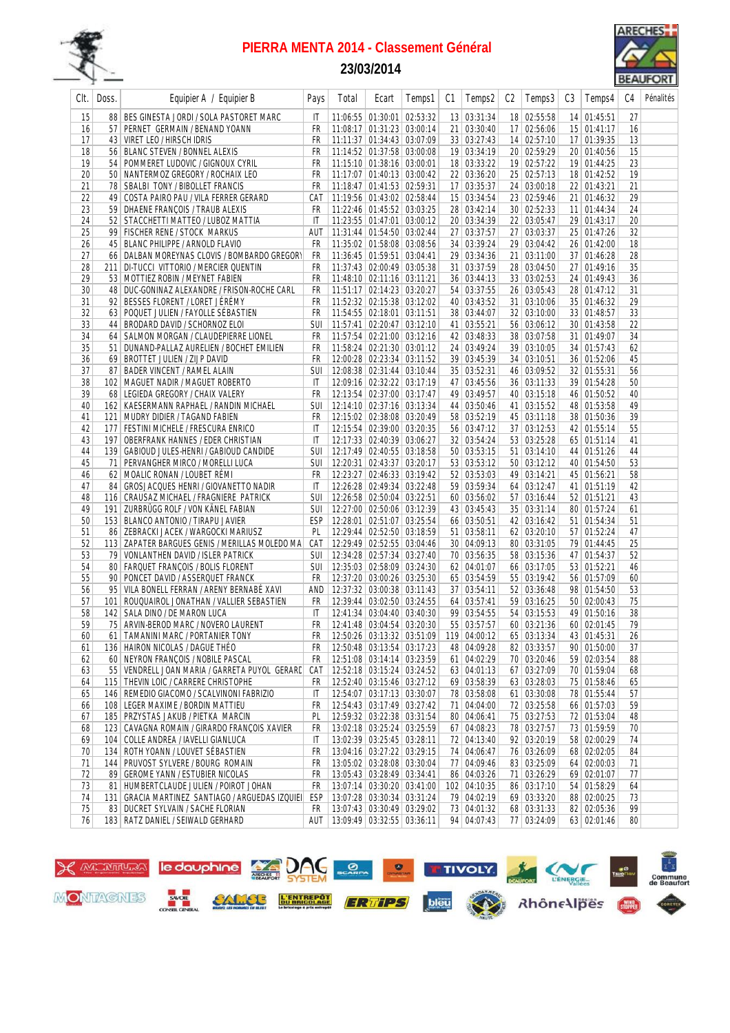

## **23/03/2014**



| Clt.     | Doss.           | Equipier A / Equipier B                                                          | Pays                         | Total | Ecart                                                    | Temps1                        | C1 | Temps2                  | C <sub>2</sub> | Temps3                     | C <sub>3</sub> | Temps4                     | C4       | Pénalités |
|----------|-----------------|----------------------------------------------------------------------------------|------------------------------|-------|----------------------------------------------------------|-------------------------------|----|-------------------------|----------------|----------------------------|----------------|----------------------------|----------|-----------|
| 15       |                 | 88 BES GINESTA JORDI / SOLA PASTORET MARC                                        | IT                           |       | 11:06:55   01:30:01   02:53:32                           |                               |    | 13 03:31:34             |                | 18 02:55:58                |                | 14 01:45:51                | 27       |           |
| 16       |                 | 57 PERNET GERMAIN / BENAND YOANN                                                 | FR                           |       | 11:08:17 01:31:23 03:00:14                               |                               |    | 21 03:30:40             |                | 17 02:56:06                |                | 15 01:41:17                | 16       |           |
| 17       |                 | 43   VIRET LEO / HIRSCH IDRIS                                                    | <b>FR</b>                    |       | 11:11:37 01:34:43 03:07:09                               |                               |    | 33 03:27:43             |                | 14 02:57:10                |                | 17 01:39:35                | 13       |           |
| 18       | 56 <sup>2</sup> | <b>BLANC STEVEN / BONNEL ALEXIS</b>                                              | FR                           |       | 11:14:52 01:37:58 03:00:08                               |                               |    | 19 03:34:19             |                | 20 02:59:29                |                | 20 01:40:56                | 15       |           |
| 19       | 54              | POMMERET LUDOVIC / GIGNOUX CYRIL                                                 | FR                           |       | 11:15:10 01:38:16 03:00:01                               |                               |    | 18 03:33:22             |                | 19 02:57:22                |                | 19 01:44:25                | 23       |           |
| 20       |                 | 50 NANTERMOZ GREGORY / ROCHAIX LEO                                               | FR                           |       | 11:17:07 01:40:13 03:00:42                               |                               |    | 22 03:36:20             |                | 25 02:57:13                |                | 18 01:42:52                | 19       |           |
| 21       |                 | 78 SBALBI TONY / BIBOLLET FRANCIS                                                | <b>FR</b>                    |       | 11:18:47 01:41:53 02:59:31                               |                               |    | $17 \mid 03:35:37$      |                | 24 03:00:18                |                | 22 01:43:21                | 21       |           |
| 22       |                 | $\mathcal{L}^{\text{max}}$<br>49   COSTA PAIRO PAU / VILA FERRER GERARD          | CAT                          |       | 11:19:56 01:43:02 02:58:44                               |                               |    | 15 03:34:54             |                | 23 02:59:46                |                | 21 01:46:32                | 29       |           |
| 23       |                 | 59 DHAENE FRANÇOIS / TRAUB ALEXIS                                                | FR                           |       | 11:22:46 01:45:52 03:03:25                               |                               |    | 28 03:42:14             |                | 30 02:52:33                |                | 11 01:44:34                | 24       |           |
| 24       |                 | 52 STACCHETTI MATTEO / LUBOZ MATTIA                                              | IT                           |       | 11:23:55 01:47:01 03:00:12                               |                               |    | 20 03:34:39             |                | 22 03:05:47                |                | 29 01:43:17                | 20       |           |
| 25       |                 | 99 FISCHER RENE / STOCK MARKUS                                                   | AUT                          |       | 11:31:44 01:54:50 03:02:44                               |                               |    | 27 03:37:57             |                | 27 03:03:37                |                | 25 01:47:26                | 32       |           |
| 26       |                 | 45 BLANC PHILIPPE / ARNOLD FLAVIO                                                | FR                           |       | 11:35:02 01:58:08 03:08:56                               |                               |    | 34 03:39:24             |                | 29 03:04:42                |                | 26 01:42:00                | 18       |           |
| 27       |                 | 66   DALBAN MOREYNAS CLOVIS / BOMBARDO GREGORY                                   | FR                           |       | 11:36:45 01:59:51 03:04:41                               |                               |    | 29 03:34:36             |                | 21 03:11:00                |                | 37 01:46:28                | 28       |           |
| 28       |                 | 211 DI-TUCCI VITTORIO / MERCIER QUENTIN                                          | <b>FR</b>                    |       | 11:37:43 02:00:49 03:05:38                               |                               |    | 31 03:37:59             |                | 28 03:04:50                |                | 27 01:49:16                | 35       |           |
| 29       |                 | 53   MOTTIEZ ROBIN / MEYNET FABIEN                                               | FR                           |       | 11:48:10 02:11:16 03:11:21                               |                               |    | 36 03:44:13             |                | 33 03:02:53                |                | 24 01:49:43                | 36       |           |
| 30       |                 | 48 DUC-GONINAZ ALEXANDRE / FRISON-ROCHE CARL                                     | FR                           |       | 11:51:17 02:14:23 03:20:27                               |                               |    | 54 03:37:55             |                | 26 03:05:43                |                | 28 01:47:12                | 31       |           |
| 31       |                 | 92 BESSES FLORENT / LORET JÉRÉMY                                                 | FR                           |       | 11:52:32 02:15:38 03:12:02                               |                               |    | 40 03:43:52             |                | 31 03:10:06                |                | 35 01:46:32                | 29       |           |
| 32       |                 | 63 POQUET JULIEN / FAYOLLE SÉBASTIEN                                             | <b>FR</b>                    |       | 11:54:55 02:18:01 03:11:51                               |                               |    | 38 03:44:07             |                | 32 03:10:00                |                | 33 01:48:57                | 33       |           |
| 33       | 44              | BRODARD DAVID / SCHORNOZ ELOI                                                    | <b>SUI</b>                   |       | 11:57:41 02:20:47 03:12:10                               |                               |    | 41 03:55:21             |                | 56 03:06:12                |                | 30 01:43:58                | 22       |           |
| 34       |                 | 64   SALMON MORGAN / CLAUDEPIERRE LIONEL                                         | FR                           |       | 11:57:54 02:21:00 03:12:16                               |                               |    | 42 03:48:33             |                | 38 03:07:58                |                | 31 01:49:07                | 34       |           |
| 35       | 51              | DUNAND-PALLAZ AURELIEN / BOCHET EMILIEN                                          | FR                           |       | 11:58:24 02:21:30 03:01:12                               |                               |    | 24 03:49:24             |                | 39 03:10:05                |                | 34 01:57:43                | 62       |           |
| 36       |                 | 69 BROTTET JULIEN / ZIJP DAVID                                                   | FR                           |       | 12:00:28 02:23:34 03:11:52                               |                               |    | 39 03:45:39             |                | 34 03:10:51                |                | 36 01:52:06                | 45       |           |
| 37       | 87              | <b>BADER VINCENT / RAMEL ALAIN</b>                                               | SUI                          |       | 12:08:38 02:31:44 03:10:44                               |                               |    | 35 03:52:31             |                | 46 03:09:52                |                | 32 01:55:31                | 56       |           |
| 38       |                 | 102 MAGUET NADIR / MAGUET ROBERTO                                                | IT                           |       | 12:09:16 02:32:22 03:17:19                               |                               |    | 47 03:45:56             |                | 36 03:11:33                |                | 39 01:54:28                | 50       |           |
| 39       |                 | 68 LEGIEDA GREGORY / CHAIX VALERY                                                | FR                           |       | 12:13:54 02:37:00 03:17:47                               |                               |    | 49 03:49:57             |                | 40 03:15:18                |                | 46 01:50:52                | 40       |           |
| 40       |                 | 162   KAESERMANN RAPHAEL / RANDIN MICHAEL                                        | SUI                          |       | 12:14:10 02:37:16 03:13:34                               |                               |    | 44 03:50:46             |                | 41 03:15:52                |                | 48 01:53:58                | 49       |           |
| 41       |                 | 121 MUDRY DIDIER / TAGAND FABIEN                                                 | FR                           |       | 12:15:02 02:38:08 03:20:49                               |                               |    | 58 03:52:19             |                | 45 03:11:18                |                | 38 01:50:36                | 39       |           |
| 42       |                 | 177   FESTINI MICHELE / FRESCURA ENRICO                                          | $\mathsf{I}$                 |       | 12:15:54 02:39:00 03:20:35                               |                               |    | 56 03:47:12             |                | 37 03:12:53                |                | 42 01:55:14                | 55       |           |
| 43       |                 | 197   OBERFRANK HANNES / EDER CHRISTIAN                                          | $\mathsf{I}$                 |       | 12:17:33 02:40:39 03:06:27                               |                               |    | 32 03:54:24             |                | 53 03:25:28                |                | 65 01:51:14                | 41       |           |
| 44       |                 | 139   GABIOUD JULES-HENRI / GABIOUD CANDIDE                                      | <b>SUI</b>                   |       | 12:17:49 02:40:55 03:18:58                               |                               |    | 50 03:53:15             |                | 51 03:14:10                |                | 44 01:51:26                | 44       |           |
| 45       |                 | 71 PERVANGHER MIRCO / MORELLI LUCA                                               | SUI                          |       | 12:20:31 02:43:37 03:20:17                               |                               |    | 53 03:53:12             |                | 50 03:12:12                |                | 40 01:54:50                | 53       |           |
| 46       |                 | 62 MOALIC RONAN / LOUBET RÉMI                                                    | FR                           |       | 12:23:27 02:46:33 03:19:42                               |                               |    | 52 03:53:03             |                | 49 03:14:21                |                | 45 01:56:21                | 58       |           |
| 47       | 84              | GROSJACQUES HENRI / GIOVANETTO NADIR                                             | IT                           |       | 12:26:28 02:49:34 03:22:48                               |                               |    | 59 03:59:34             |                | 64 03:12:47                |                | 41 01:51:19                | 42       |           |
| 48       |                 | 116 CRAUSAZ MICHAEL / FRAGNIERE PATRICK                                          | <b>SUI</b>                   |       | 12:26:58 02:50:04 03:22:51                               |                               |    | 60 03:56:02             |                | 57 03:16:44                |                | 52 01:51:21                | 43       |           |
| 49       | 191             | ZURBRÜGG ROLF / VON KÄNEL FABIAN                                                 | SUI                          |       | 12:27:00 02:50:06 03:12:39                               |                               |    | 43 03:45:43             |                | 35 03:31:14                |                | 80 01:57:24                | 61       |           |
| 50       |                 | 153 BLANCO ANTONIO / TIRAPU JAVIER                                               | ESP                          |       | 12:28:01 02:51:07 03:25:54                               |                               |    | 66 03:50:51             |                | 42 03:16:42                |                | 51 01:54:34                | 51       |           |
| 51       |                 | 86 ZEBRACKI JACEK / WARGOCKI MARIUSZ                                             | PL                           |       | 12:29:44 02:52:50 03:18:59                               |                               |    | 51   03:58:11           |                | 62 03:20:10                |                | 57 01:52:24                | 47       |           |
| 52       |                 | 113 ZAPATER BARGUES GENIS / MERILLAS MOLEDO MA                                   | CAT                          |       | 12:29:49 02:52:55 03:04:46                               |                               |    | 30 04:09:13             |                | 80 03:31:05                |                | 79 01:44:45                | 25       |           |
| 53       |                 | 79 VONLANTHEN DAVID / ISLER PATRICK                                              | SUI                          |       | 12:34:28 02:57:34 03:27:40                               |                               |    | 70 03:56:35             |                | 58 03:15:36                |                | 47 01:54:37                | 52       |           |
| 54       |                 | 80 FARQUET FRANÇOIS / BOLIS FLORENT                                              | <b>SUI</b>                   |       | 12:35:03 02:58:09 03:24:30                               |                               |    | 62 04:01:07             |                | 66 03:17:05                |                | 53 01:52:21                | 46       |           |
| 55       |                 | 90 PONCET DAVID / ASSERQUET FRANCK<br>95 VILA BONELL FERRAN / ARENY BERNABÉ XAVI | <b>FR</b>                    |       | 12:37:20 03:00:26 03:25:30<br>12:37:32 03:00:38 03:11:43 |                               |    | 65 03:54:59             |                | 55 03:19:42                |                | 56 01:57:09                | 60<br>53 |           |
| 56       |                 |                                                                                  | AND                          |       |                                                          |                               |    | 37   03:54:11           |                | 52 03:36:48                |                | 98 01:54:50<br>50 02:00:43 | 75       |           |
| 57<br>58 | 101<br>142      | ROUQUAIROL JONATHAN / VALLIER SEBASTIEN<br>SALA DINO / DE MARON LUCA             | FR<br>$\mathsf{I}\mathsf{T}$ |       | 12:39:44 03:02:50 03:24:55                               |                               | 99 | 64 03:57:41             |                | 59 03:16:25                |                |                            |          |           |
| 59       |                 | 75 ARVIN-BEROD MARC / NOVERO LAURENT                                             | <b>FR</b>                    |       | 12:41:34 03:04:40 03:40:30<br>12:41:48 03:04:54 03:20:30 |                               |    | 03:54:55<br>55 03:57:57 |                | 54 03:15:53<br>60 03:21:36 |                | 49 01:50:16                | 38<br>79 |           |
| 60       |                 |                                                                                  |                              |       |                                                          | FR 12:50:26 03:13:32 03:51:09 |    | 119 04:00:12            |                | 65 03:13:34                |                | 60 02:01:45<br>43 01:45:31 | 26       |           |
|          |                 | 61 TAMANINI MARC / PORTANIER TONY<br>136 HAIRON NICOLAS / DAGUE THÉO             |                              |       |                                                          |                               |    | 48 04:09:28             |                |                            |                | 90 01:50:00                | 37       |           |
| 61<br>62 |                 | 60 NEYRON FRANÇOIS / NOBILE PASCAL                                               | FR<br>FR                     |       | 12:50:48 03:13:54 03:17:23<br>12:51:08 03:14:14 03:23:59 |                               |    | 61 04:02:29             |                | 82 03:33:57<br>70 03:20:46 |                | 59 02:03:54                | 88       |           |
| 63       |                 | 55   VENDRELL JOAN MARIA / GARRETA PUYOL GERARI                                  |                              |       | CAT   12:52:18   03:15:24   03:24:52                     |                               |    | 63 04:01:13             |                | 67 03:27:09                |                | 70 01:59:04                | 68       |           |
| 64       |                 | 115 THEVIN LOIC / CARRERE CHRISTOPHE                                             | FR                           |       | 12:52:40 03:15:46 03:27:12                               |                               |    | 69 03:58:39             |                | 63 03:28:03                |                | 75 01:58:46                | 65       |           |
| 65       |                 | 146 REMEDIO GIACOMO / SCALVINONI FABRIZIO                                        | IT                           |       | 12:54:07 03:17:13 03:30:07                               |                               |    | 78 03:58:08             |                | 61 03:30:08                |                | 78 01:55:44                | 57       |           |
|          |                 | 108   LEGER MAXIME / BORDIN MATTIEU                                              | FR                           |       | 12:54:43 03:17:49 03:27:42                               |                               |    | 71 04:04:00             |                | 72 03:25:58                |                | 66 01:57:03                | 59       |           |
| 66<br>67 |                 | 185 PRZYSTAS JAKUB / PIETKA MARCIN                                               | PL                           |       | 12:59:32 03:22:38 03:31:54                               |                               |    | 80 04:06:41             |                | 75 03:27:53                |                | 72 01:53:04                | 48       |           |
| 68       |                 | 123 CAVAGNA ROMAIN / GIRARDO FRANÇOIS XAVIER                                     | FR                           |       | 13:02:18 03:25:24 03:25:59                               |                               |    | 67 04:08:23             |                | 78 03:27:57                |                | 73 01:59:59                | 70       |           |
| 69       |                 | 104 COLLE ANDREA / IAVELLI GIANLUCA                                              | IT                           |       | 13:02:39 03:25:45 03:28:11                               |                               |    | 72 04:13:40             |                | 92 03:20:19                |                | 58 02:00:29                | 74       |           |
| 70       |                 | 134 ROTH YOANN / LOUVET SÉBASTIEN                                                | FR                           |       | 13:04:16 03:27:22 03:29:15                               |                               |    | 74 04:06:47             |                | 76 03:26:09                |                | 68 02:02:05                | 84       |           |
| 71       |                 | 144 PRUVOST SYLVERE / BOURG ROMAIN                                               | FR                           |       | 13:05:02 03:28:08 03:30:04                               |                               |    | 77 04:09:46             |                | 83 03:25:09                |                | 64 02:00:03                | 71       |           |
| 72       |                 | 89 GEROME YANN / ESTUBIER NICOLAS                                                | FR                           |       | 13:05:43 03:28:49 03:34:41                               |                               |    | 86 04:03:26             |                | 71 03:26:29                |                | 69 02:01:07                | 77       |           |
| 73       |                 | 81   HUMBERTCLAUDE JULIEN / POIROT JOHAN                                         | FR                           |       | 13:07:14 03:30:20 03:41:00                               |                               |    | 102 04:10:35            |                | 86 03:17:10                |                | 54 01:58:29                | 64       |           |
| 74       | 131             | GRACIA MARTINEZ SANTIAGO / ARGUEDAS IZQUIEI                                      | ESP                          |       | 13:07:28 03:30:34 03:31:24                               |                               |    | 79 04:02:19             |                | 69 03:33:20                |                | 88 02:00:25                | 73       |           |
| 75       |                 | 83 DUCRET SYLVAIN / SACHE FLORIAN                                                | FR                           |       | 13:07:43 03:30:49 03:29:02                               |                               |    | 73 04:01:32             |                | 68 03:31:33                |                | 82 02:05:36                | 99       |           |
| 76       |                 | 183 RATZ DANIEL / SEIWALD GERHARD                                                |                              |       | AUT   13:09:49   03:32:55   03:36:11                     |                               |    | 94 04:07:43             |                | 77 03:24:09                |                | 63 02:01:46                | 80       |           |

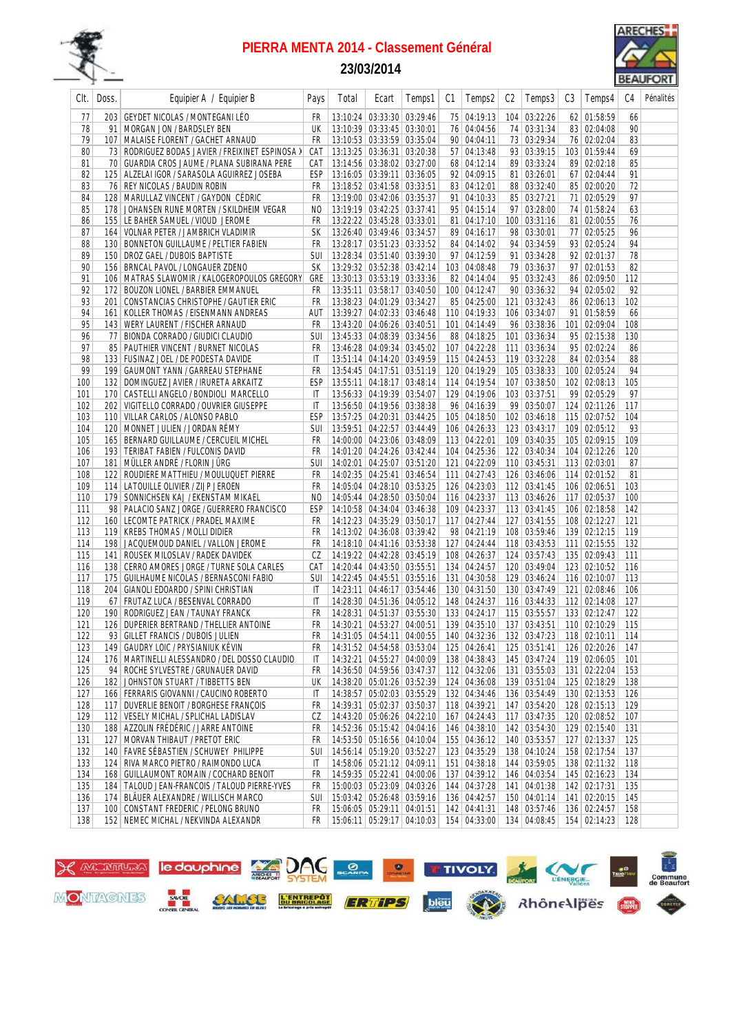

## **23/03/2014**



| Clt.       | Doss. | Equipier A / Equipier B                                                                                    | Pays                         | Total | Ecart                                                    | Temps1 | C1 | Temps2                       | C2 | Temps3                                               | C3 | Temps4                       | C4         | Pénalités |
|------------|-------|------------------------------------------------------------------------------------------------------------|------------------------------|-------|----------------------------------------------------------|--------|----|------------------------------|----|------------------------------------------------------|----|------------------------------|------------|-----------|
| 77         |       | 203   GEYDET NICOLAS / MONTEGANI LÉO                                                                       | FR                           |       | 13:10:24 03:33:30 03:29:46                               |        |    | 75 04:19:13                  |    | 104 03:22:26                                         |    | 62 01:58:59                  | 66         |           |
| 78         | 91    | MORGAN JON / BARDSLEY BEN                                                                                  | UK                           |       | 13:10:39 03:33:45 03:30:01                               |        |    | 76 04:04:56                  |    | 74 03:31:34                                          |    | 83 02:04:08                  | 90         |           |
| 79         |       | 107   MALAISE FLORENT / GACHET ARNAUD                                                                      | FR                           |       | 13:10:53 03:33:59 03:35:04                               |        |    | 90 04:04:11                  |    | 73 03:29:34                                          |    | 76 02:02:04                  | 83         |           |
| 80         |       | 73 RODRIGUEZ BODAS JAVIER / FREIXINET ESPINOSA >                                                           | CAT                          |       | 13:13:25 03:36:31 03:20:38                               |        |    | 57 04:13:48                  |    | 93 03:39:15                                          |    | 103 01:59:44                 | 69         |           |
| 81         |       | 70   GUARDIA CROS JAUME / PLANA SUBIRANA PERE                                                              | CAT                          |       | 13:14:56 03:38:02 03:27:00                               |        |    | 68 04:12:14                  |    | 89 03:33:24                                          |    | 89 02:02:18                  | 85         |           |
| 82         |       | 125   ALZELAI IGOR / SARASOLA AGUIRREZ JOSEBA                                                              | ESP                          |       | 13:16:05 03:39:11 03:36:05                               |        |    | 92 04:09:15                  |    | 81 03:26:01                                          |    | 67 02:04:44                  | 91         |           |
| 83         |       | 76 REY NICOLAS / BAUDIN ROBIN                                                                              | FR                           |       | 13:18:52 03:41:58 03:33:51                               |        |    | 83 04:12:01                  |    | 88 03:32:40                                          |    | 85 02:00:20                  | 72         |           |
| 84         |       | 128   MARULLAZ VINCENT / GAYDON CÉDRIC                                                                     | FR                           |       | 13:19:00 03:42:06 03:35:37                               |        |    | 91 04:10:33                  |    | 85 03:27:21                                          |    | 71 02:05:29                  | 97         |           |
| 85         |       | 178 JOHANSEN RUNE MORTEN / SKILDHEIM VEGAR                                                                 | NO                           |       | 13:19:19 03:42:25 03:37:41                               |        |    | 95 04:15:14                  |    | 97 03:28:00                                          |    | 74 01:58:24                  | 63         |           |
| 86         |       | 155 LE BAHER SAMUEL / VIOUD JEROME                                                                         | FR                           |       | 13:22:22 03:45:28 03:33:01<br>13:26:40 03:49:46 03:34:57 |        |    | 81 04:17:10                  |    | 100 03:31:16                                         |    | 81 02:00:55<br>77 02:05:25   | 76         |           |
| 87<br>88   | 130   | 164   VOLNAR PETER / JAMBRICH VLADIMIR<br><b>BONNETON GUILLAUME / PELTIER FABIEN</b>                       | SК<br>FR                     |       | 13:28:17 03:51:23 03:33:52                               |        |    | 89 04:16:17<br>84 04:14:02   |    | 98 03:30:01<br>94 03:34:59                           |    | 93 02:05:24                  | 96<br>94   |           |
| 89         |       | 150 DROZ GAEL / DUBOIS BAPTISTE                                                                            | <b>SUI</b>                   |       | 13:28:34 03:51:40 03:39:30                               |        |    | 97 04:12:59                  |    | 91 03:34:28                                          |    | 92 02:01:37                  | 78         |           |
| 90         |       | 156 BRNCAL PAVOL / LONGAUER ZDENO                                                                          | <b>SK</b>                    |       | 13:29:32 03:52:38 03:42:14                               |        |    | 103 04:08:48                 |    | 79 03:36:37                                          |    | 97 02:01:53                  | 82         |           |
| 91         |       | 106   MATRAS SLAWOMIR / KALOGEROPOULOS GREGORY                                                             | GRE                          |       | 13:30:13 03:53:19 03:33:36                               |        |    | 82 04:14:04                  |    | 95 03:32:43                                          |    | 86 02:09:50                  | 112        |           |
| 92         |       | 172 BOUZON LIONEL / BARBIER EMMANUEL                                                                       | FR                           |       | 13:35:11 03:58:17 03:40:50                               |        |    | 100 04:12:47                 |    | 90 03:36:32                                          |    | 94 02:05:02                  | 92         |           |
| 93         | 201   | CONSTANCIAS CHRISTOPHE / GAUTIER ERIC                                                                      | FR                           |       | 13:38:23 04:01:29 03:34:27                               |        |    | 85 04:25:00                  |    | 121 03:32:43                                         |    | 86 02:06:13                  | 102        |           |
| 94         |       | 161   KOLLER THOMAS / EISENMANN ANDREAS                                                                    | aut                          |       | 13:39:27 04:02:33 03:46:48                               |        |    | 110 04:19:33                 |    | 106 03:34:07                                         |    | 91 01:58:59                  | 66         |           |
| 95         |       | 143 WERY LAURENT / FISCHER ARNAUD                                                                          | FR                           |       | 13:43:20 04:06:26 03:40:51                               |        |    | 101 04:14:49                 |    | 96 03:38:36                                          |    | 101 02:09:04                 | 108        |           |
| 96         | 77    | BIONDA CORRADO / GIUDICI CLAUDIO                                                                           | <b>SUI</b>                   |       | 13:45:33 04:08:39 03:34:56                               |        |    | 88 04:18:25                  |    | 101 03:36:34                                         |    | 95 02:15:38                  | 130        |           |
| 97         |       | 85   PAUTHIER VINCENT / BURNET NICOLAS                                                                     | FR                           |       | 13:46:28 04:09:34 03:45:02                               |        |    | 107 04:22:28                 |    | 111 03:36:34                                         |    | 95 02:02:24                  | 86         |           |
| 98         |       | 133   FUSINAZ JOEL / DE PODESTA DAVIDE                                                                     | $\mathsf{I}$                 |       | 13:51:14 04:14:20 03:49:59                               |        |    | 115 04:24:53                 |    | 119 03:32:28                                         |    | 84 02:03:54                  | 88         |           |
| 99         |       | 199   GAUMONT YANN / GARREAU STEPHANE                                                                      | FR                           |       | 13:54:45 04:17:51 03:51:19                               |        |    | 120 04:19:29                 |    | 105 03:38:33                                         |    | 100 02:05:24                 | 94         |           |
| 100        |       | 132 DOMINGUEZ JAVIER / IRURETA ARKAITZ                                                                     | <b>ESP</b>                   |       | 13:55:11 04:18:17 03:48:14                               |        |    | 114 04:19:54                 |    | 107 03:38:50                                         |    | 102 02:08:13                 | 105        |           |
| 101        |       | 170 CASTELLI ANGELO / BONDIOLI MARCELLO                                                                    | IT                           |       | 13:56:33 04:19:39 03:54:07                               |        |    | 129 04:19:06                 |    | 103 03:37:51                                         |    | 99 02:05:29                  | 97         |           |
| 102        |       | 202   VIGITELLO CORRADO / OUVRIER GIUSEPPE                                                                 | $\mathsf{I}\mathsf{T}$       |       | 13:56:50 04:19:56 03:38:38                               |        |    | 96 04:16:39                  |    | 99 03:50:07                                          |    | 124 02:11:26                 | 117        |           |
| 103        |       | 110 VILLAR CARLOS / ALONSO PABLO                                                                           | <b>ESP</b>                   |       | 13:57:25 04:20:31 03:44:25                               |        |    | 105 04:18:50                 |    | 102 03:46:18                                         |    | 115 02:07:52                 | 104        |           |
| 104        |       | 120   MONNET JULIEN / JORDAN RÉMY                                                                          | SUI                          |       | 13:59:51 04:22:57 03:44:49                               |        |    | 106 04:26:33                 |    | 123 03:43:17                                         |    | 109 02:05:12                 | 93         |           |
| 105        |       | 165   BERNARD GUILLAUME / CERCUEIL MICHEL                                                                  | FR                           |       | 14:00:00   04:23:06   03:48:09                           |        |    | 113 04:22:01                 |    | 109 03:40:35                                         |    | 105 02:09:15                 | 109        |           |
| 106        |       | 193   TERIBAT FABIEN / FULCONIS DAVID                                                                      | FR                           |       | 14:01:20 04:24:26 03:42:44                               |        |    | 104 04:25:36                 |    | 122 03:40:34                                         |    | 104 02:12:26                 | 120        |           |
| 107        |       | 181   MÜLLER ANDRÉ / FLORIN JÜRG                                                                           | <b>SUI</b>                   |       | 14:02:01 04:25:07 03:51:20                               |        |    | 121 04:22:09                 |    | 110 03:45:31                                         |    | 113 02:03:01                 | 87         |           |
| 108        |       | 122 ROUDIERE MATTHIEU / MOULUQUET PIERRE                                                                   | FR                           |       | 14:02:35   04:25:41   03:46:54                           |        |    | 111 04:27:43                 |    | 126 03:46:06                                         |    | 114 02:01:52                 | 81         |           |
| 109        |       | 114 LATOUILLE OLIVIER / ZIJP JEROEN                                                                        | <b>FR</b>                    |       | 14:05:04 04:28:10 03:53:25                               |        |    | 126 04:23:03                 |    | 112 03:41:45                                         |    | 106 02:06:51                 | 103        |           |
| 110        |       | 179 SONNICHSEN KAJ / EKENSTAM MIKAEL<br>98 PALACIO SANZ JORGE / GUERRERO FRANCISCO                         | N <sub>0</sub><br><b>ESP</b> |       | 14:05:44 04:28:50 03:50:04                               |        |    | 116 04:23:37                 |    | 113 03:46:26                                         |    | 117 02:05:37                 | 100<br>142 |           |
| 111<br>112 |       | 160 LECOMTE PATRICK / PRADEL MAXIME                                                                        | FR                           |       | 14:10:58 04:34:04 03:46:38<br>14:12:23 04:35:29 03:50:17 |        |    | 109 04:23:37<br>117 04:27:44 |    | 113 03:41:45<br>127 03:41:55                         |    | 106 02:18:58<br>108 02:12:27 | 121        |           |
| 113        |       | 119 KREBS THOMAS / MOLLI DIDIER                                                                            | FR                           |       | 14:13:02 04:36:08 03:39:42                               |        |    | 98 04:21:19                  |    | 108 03:59:46                                         |    | 139 02:12:15                 | 119        |           |
| 114        |       | 198 JACQUEMOUD DANIEL / VALLON JEROME                                                                      | FR                           |       | 14:18:10 04:41:16 03:53:38                               |        |    | 127 04:24:44                 |    | 118 03:43:53                                         |    | 111 02:15:55                 | 132        |           |
| 115        |       | 141 ROUSEK MILOSLAV / RADEK DAVIDEK                                                                        | CZ                           |       | 14:19:22 04:42:28 03:45:19                               |        |    | 108 04:26:37                 |    | 124 03:57:43                                         |    | 135 02:09:43                 | 111        |           |
| 116        |       | 138 CERRO AMORES JORGE / TURNE SOLA CARLES                                                                 | CAT                          |       | 14:20:44 04:43:50 03:55:51                               |        |    | 134 04:24:57                 |    | 120 03:49:04                                         |    | 123 02:10:52                 | 116        |           |
| 117        |       | 175 GUILHAUME NICOLAS / BERNASCONI FABIO                                                                   | SUI                          |       | 14:22:45   04:45:51   03:55:16                           |        |    | 131 04:30:58                 |    | 129 03:46:24                                         |    | 116 02:10:07                 | 113        |           |
| 118        | 204   | GIANOLI EDOARDO / SPINI CHRISTIAN                                                                          | IT                           |       | 14:23:11 04:46:17 03:54:46                               |        |    | 130 04:31:50                 |    | 130 03:47:49                                         |    | 121 02:08:46                 | 106        |           |
| 119        |       | 67   FRUTAZ LUCA / BESENVAL CORRADO                                                                        | $\mathsf{I}$                 |       | 14:28:30 04:51:36 04:05:12                               |        |    | 148 04:24:37                 |    | 116 03:44:33                                         |    | 112 02:14:08                 | 127        |           |
| 120        |       | 190 RODRIGUEZ JEAN / TAUNAY FRANCK                                                                         | FR                           |       | 14:28:31 04:51:37 03:55:30                               |        |    | 133 04:24:17                 |    | 115 03:55:57                                         |    | 133 02:12:47                 | 122        |           |
| 121        |       | 126 DUPERIER BERTRAND / THELLIER ANTOINE                                                                   |                              |       | FR   14:30:21   04:53:27   04:00:51                      |        |    |                              |    | 139 04:35:10 137 03:43:51                            |    | 110 02:10:29                 | 115        |           |
| 122        |       | 93 GILLET FRANCIS / DUBOIS JULIEN FR 14:31:05 04:54:11 04:00:55 140 04:32:36 132 03:47:23 118 02:10:11 114 |                              |       |                                                          |        |    |                              |    |                                                      |    |                              |            |           |
| 123        |       | 149   GAUDRY LOIC / PRYSIANIUK KÉVIN                                                                       | FR                           |       | 14:31:52 04:54:58 03:53:04 125 04:26:41                  |        |    |                              |    | 125 03:51:41                                         |    | 126 02:20:26 147             |            |           |
| 124        |       | 176 MARTINELLI ALESSANDRO / DEL DOSSO CLAUDIO                                                              | IT                           |       | 14:32:21 04:55:27 04:00:09                               |        |    | 138 04:38:43                 |    | 145 03:47:24                                         |    | 119 02:06:05                 | 101        |           |
| 125        |       | 94 ROCHE SYLVESTRE / GRUNAUER DAVID                                                                        | FR                           |       | 14:36:50 04:59:56 03:47:37                               |        |    | 112 04:32:06                 |    | 131 03:55:03                                         |    | 131 02:22:04                 | 153        |           |
| 126        |       | 182 JOHNSTON STUART / TIBBETTS BEN                                                                         | UK                           |       | 14:38:20 05:01:26 03:52:39                               |        |    | 124 04:36:08                 |    | 139 03:51:04                                         |    | 125 02:18:29                 | 138        |           |
| 127        |       | 166 FERRARIS GIOVANNI / CAUCINO ROBERTO                                                                    | IT                           |       | 14:38:57 05:02:03 03:55:29                               |        |    | 132 04:34:46                 |    | 136 03:54:49                                         |    | 130 02:13:53                 | 126        |           |
| 128        |       | 117 DUVERLIE BENOIT / BORGHESE FRANÇOIS<br>112 VESELY MICHAL / SPLICHAL LADISLAV                           | FR                           |       | 14:39:31 05:02:37 03:50:37                               |        |    | 118 04:39:21                 |    | 147 03:54:20                                         |    | 128 02:15:13                 | 129        |           |
| 129<br>130 |       | 188 AZZOLIN FRÉDÉRIC / JARRE ANTOINE                                                                       | CZ<br>FR                     |       | 14:43:20 05:06:26 04:22:10<br>14:52:36 05:15:42 04:04:16 |        |    | 167 04:24:43<br>146 04:38:10 |    | 117 03:47:35<br>142 03:54:30                         |    | 120 02:08:52<br>129 02:15:40 | 107<br>131 |           |
| 131        |       | 127   MORVAN THIBAUT / PRETOT ERIC                                                                         | FR                           |       | 14:53:50 05:16:56 04:10:04                               |        |    | 155 04:36:12                 |    | 140 03:53:57                                         |    | 127 02:13:37                 | 125        |           |
| 132        |       | 140 FAVRE SÉBASTIEN / SCHUWEY PHILIPPE                                                                     | <b>SUI</b>                   |       | 14:56:14 05:19:20 03:52:27                               |        |    | 123 04:35:29                 |    | 138 04:10:24                                         |    | 158 02:17:54                 | 137        |           |
| 133        |       | 124 RIVA MARCO PIETRO / RAIMONDO LUCA                                                                      | IT                           |       | 14:58:06 05:21:12 04:09:11                               |        |    | 151 04:38:18                 |    | 144 03:59:05                                         |    | 138 02:11:32                 | 118        |           |
| 134        |       | 168   GUILLAUMONT ROMAIN / COCHARD BENOIT                                                                  | FR                           |       | 14:59:35 05:22:41 04:00:06                               |        |    | 137 04:39:12                 |    | 146 04:03:54                                         |    | 145 02:16:23                 | 134        |           |
| 135        |       | 184   TALOUD JEAN-FRANCOIS / TALOUD PIERRE-YVES                                                            | FR                           |       | 15:00:03 05:23:09 04:03:26                               |        |    | 144 04:37:28                 |    | 141 04:01:38                                         |    | 142 02:17:31                 | 135        |           |
| 136        |       | 174   BLÄUER ALEXANDRE / WILLISCH MARCO                                                                    | SUI                          |       | 15:03:42 05:26:48 03:59:16                               |        |    | 136 04:42:57                 |    | 150 04:01:14                                         |    | 141 02:20:15                 | 145        |           |
| 137        |       | 100 CONSTANT FREDERIC / PELONG BRUNO                                                                       | FR                           |       | 15:06:05 05:29:11 04:01:51                               |        |    | 142 04:41:31                 |    | 148 03:57:46                                         |    | 136 02:24:57 158             |            |           |
| 138        |       | 152 NEMEC MICHAL / NEKVINDA ALEXANDR                                                                       | FR                           |       |                                                          |        |    |                              |    | 15:06:11 05:29:17 04:10:03 154 04:33:00 134 04:08:45 |    | 154 02:14:23 128             |            |           |